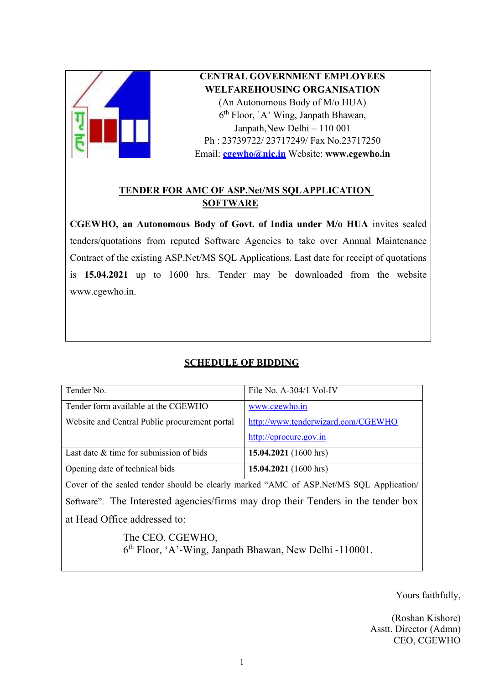

# **CENTRAL GOVERNMENT EMPLOYEES WELFAREHOUSING ORGANISATION**

(An Autonomous Body of M/o HUA) 6 th Floor, `A' Wing, Janpath Bhawan, Janpath,New Delhi – 110 001 Ph : 23739722/ 23717249/ Fax No.23717250 Email: **[cgewho@nic.in](mailto:cgewho@nic.in)** Website: **[www.cgewho.in](http://www.cgewho.in/)**

# **TENDER FOR AMC OF ASP.Net/MS SQL APPLICATION SOFTWARE**

**CGEWHO, an Autonomous Body of Govt. of India under M/o HUA** invites sealed tenders/quotations from reputed Software Agencies to take over Annual Maintenance Contract of the existing ASP.Net/MS SQL Applications. Last date for receipt of quotations is **15.04.2021** up to 1600 hrs. Tender may be downloaded from the website [www.cgewho.in.](http://www.cgewho.in/)

# **SCHEDULE OF BIDDING**

| Tender No.                                                                              | File No. $A-304/1$ Vol-IV          |  |  |
|-----------------------------------------------------------------------------------------|------------------------------------|--|--|
| Tender form available at the CGEWHO                                                     | www.cgewho.in                      |  |  |
| Website and Central Public procurement portal                                           | http://www.tenderwizard.com/CGEWHO |  |  |
|                                                                                         | http://eprocure.gov.in             |  |  |
| Last date $&$ time for submission of bids                                               | 15.04.2021 $(1600 \text{ hrs})$    |  |  |
| Opening date of technical bids                                                          | 15.04.2021 (1600 hrs)              |  |  |
| Cover of the sealed tender should be clearly marked "AMC of ASP. Net/MS SQL Application |                                    |  |  |
| Software". The Interested agencies/firms may drop their Tenders in the tender box       |                                    |  |  |
| at Head Office addressed to:                                                            |                                    |  |  |
| The CEO, CGEWHO,<br>6 <sup>th</sup> Floor, 'A'-Wing, Janpath Bhawan, New Delhi -110001. |                                    |  |  |

Yours faithfully,

(Roshan Kishore) Asstt. Director (Admn) CEO, CGEWHO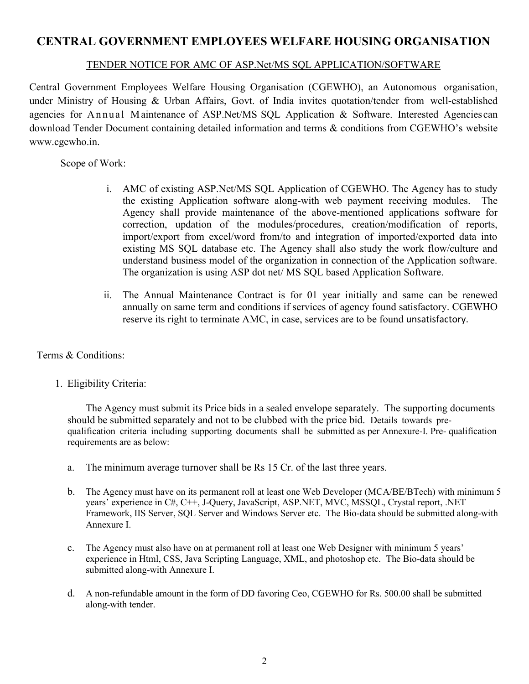# **CENTRAL GOVERNMENT EMPLOYEES WELFARE HOUSING ORGANISATION**

## TENDER NOTICE FOR AMC OF ASP.Net/MS SQL APPLICATION/SOFTWARE

Central Government Employees Welfare Housing Organisation (CGEWHO), an Autonomous organisation, under Ministry of Housing & Urban Affairs, Govt. of India invites quotation/tender from well-established agencies for Annual Maintenance of ASP.Net/MS SQL Application & Software. Interested Agencies can download Tender Document containing detailed information and terms & conditions from CGEWHO's website www.cgewho.in.

Scope of Work:

- i. AMC of existing ASP.Net/MS SQL Application of CGEWHO. The Agency has to study the existing Application software along-with web payment receiving modules. The Agency shall provide maintenance of the above-mentioned applications software for correction, updation of the modules/procedures, creation/modification of reports, import/export from excel/word from/to and integration of imported/exported data into existing MS SQL database etc. The Agency shall also study the work flow/culture and understand business model of the organization in connection of the Application software. The organization is using ASP dot net/ MS SQL based Application Software.
- ii. The Annual Maintenance Contract is for 01 year initially and same can be renewed annually on same term and conditions if services of agency found satisfactory. CGEWHO reserve its right to terminate AMC, in case, services are to be found unsatisfactory.

## Terms & Conditions:

1. Eligibility Criteria:

The Agency must submit its Price bids in a sealed envelope separately. The supporting documents should be submitted separately and not to be clubbed with the price bid. Details towards prequalification criteria including supporting documents shall be submitted as per Annexure-I. Pre- qualification requirements are as below:

- a. The minimum average turnover shall be Rs 15 Cr. of the last three years.
- b. The Agency must have on its permanent roll at least one Web Developer (MCA/BE/BTech) with minimum 5 years' experience in C#, C++, J-Query, JavaScript, ASP.NET, MVC, MSSQL, Crystal report, .NET Framework, IIS Server, SQL Server and Windows Server etc. The Bio-data should be submitted along-with Annexure I.
- c. The Agency must also have on at permanent roll at least one Web Designer with minimum 5 years' experience in Html, CSS, Java Scripting Language, XML, and photoshop etc. The Bio-data should be submitted along-with Annexure I.
- d. A non-refundable amount in the form of DD favoring Ceo, CGEWHO for Rs. 500.00 shall be submitted along-with tender.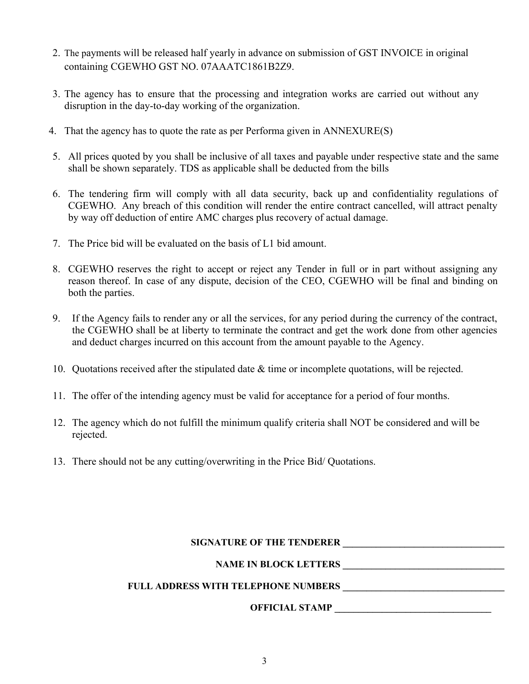- 2. The payments will be released half yearly in advance on submission of GST INVOICE in original containing CGEWHO GST NO. 07AAATC1861B2Z9.
- 3. The agency has to ensure that the processing and integration works are carried out without any disruption in the day-to-day working of the organization.
- 4. That the agency has to quote the rate as per Performa given in ANNEXURE(S)
- 5. All prices quoted by you shall be inclusive of all taxes and payable under respective state and the same shall be shown separately. TDS as applicable shall be deducted from the bills
- 6. The tendering firm will comply with all data security, back up and confidentiality regulations of CGEWHO. Any breach of this condition will render the entire contract cancelled, will attract penalty by way off deduction of entire AMC charges plus recovery of actual damage.
- 7. The Price bid will be evaluated on the basis of L1 bid amount.
- 8. CGEWHO reserves the right to accept or reject any Tender in full or in part without assigning any reason thereof. In case of any dispute, decision of the CEO, CGEWHO will be final and binding on both the parties.
- 9. If the Agency fails to render any or all the services, for any period during the currency of the contract, the CGEWHO shall be at liberty to terminate the contract and get the work done from other agencies and deduct charges incurred on this account from the amount payable to the Agency.
- 10. Quotations received after the stipulated date & time or incomplete quotations, will be rejected.
- 11. The offer of the intending agency must be valid for acceptance for a period of four months.
- 12. The agency which do not fulfill the minimum qualify criteria shall NOT be considered and will be rejected.
- 13. There should not be any cutting/overwriting in the Price Bid/ Quotations.

## **SIGNATURE OF THE TENDERER \_\_\_\_\_\_\_\_\_\_\_\_\_\_\_\_\_\_\_\_\_\_\_\_\_\_\_\_\_\_\_\_\_\_**

#### NAME IN BLOCK LETTERS

# **FULL ADDRESS WITH TELEPHONE NUMBERS \_\_\_\_\_\_\_\_\_\_\_\_\_\_\_\_\_\_\_\_\_\_\_\_\_\_\_\_\_\_\_\_\_\_**

#### **OFFICIAL STAMP \_\_\_\_\_\_\_\_\_\_\_\_\_\_\_\_\_\_\_\_\_\_\_\_\_\_\_\_\_\_\_\_\_**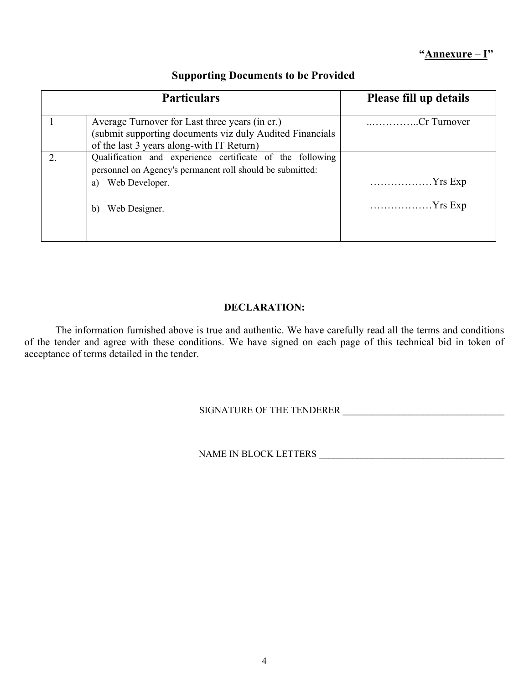# **"Annexure – I"**

| <b>Particulars</b>                                                                                                                                                    | Please fill up details             |
|-----------------------------------------------------------------------------------------------------------------------------------------------------------------------|------------------------------------|
| Average Turnover for Last three years (in cr.)<br>(submit supporting documents viz duly Audited Financials<br>of the last 3 years along-with IT Return)               | Cr Turnover                        |
| Qualification and experience certificate of the following<br>personnel on Agency's permanent roll should be submitted:<br>Web Developer.<br>a)<br>Web Designer.<br>b) | $\ldots$ Yrs Exp<br>$Yrs$ Exp<br>. |

# **Supporting Documents to be Provided**

### **DECLARATION:**

The information furnished above is true and authentic. We have carefully read all the terms and conditions of the tender and agree with these conditions. We have signed on each page of this technical bid in token of acceptance of terms detailed in the tender.

# SIGNATURE OF THE TENDERER \_\_\_\_\_\_\_\_\_\_\_\_\_\_\_\_\_\_\_\_\_\_\_\_\_\_\_\_\_\_\_\_\_\_

NAME IN BLOCK LETTERS \_\_\_\_\_\_\_\_\_\_\_\_\_\_\_\_\_\_\_\_\_\_\_\_\_\_\_\_\_\_\_\_\_\_\_\_\_\_\_